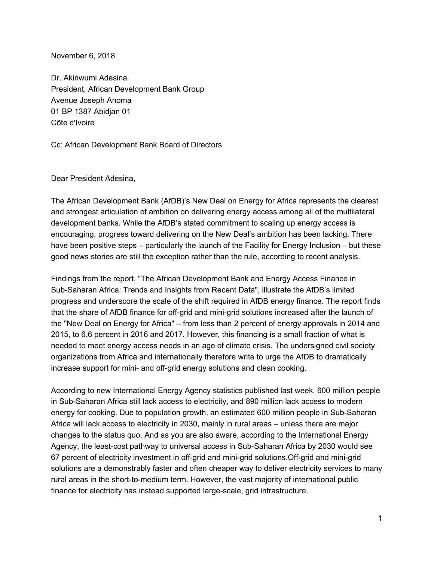November 6, 2018

Dr. Akinwumi Adesina President, African Development Bank Group Avenue Joseph Anoma 01 BP 1387 Abidjan 01 Côte d'Ivoire

Cc: African Development Bank Board of Directors

Dear President Adesina,

The African Development Bank (AfDB)'s New Deal on Energy for Africa represents the clearest and strongest articulation of ambition on delivering energy access among all of the multilateral development banks. While the AfDB's stated commitment to scaling up energy access is encouraging, progress toward delivering on the New Deal's ambition has been lacking. There have been positive steps – particularly the launch of the Facility for Energy Inclusion – but these good news stories are still the exception rather than the rule, according to recent analysis.

Findings from the report, "The African Development Bank and Energy Access Finance in Sub-Saharan Africa: Trends and Insights from Recent Data", illustrate the AfDB's limited progress and underscore the scale of the shift required in AfDB energy finance. The report finds that the share of AfDB finance for off-grid and mini-grid solutions increased after the launch of the "New Deal on Energy for Africa" – from less than 2 percent of energy approvals in 2014 and 2015, to 6.6 percent in 2016 and 2017. However, this financing is a small fraction of what is needed to meet energy access needs in an age of climate crisis. The undersigned civil society organizations from Africa and internationally therefore write to urge the AfDB to dramatically increase support for mini- and off-grid energy solutions and clean cooking.

According to new International Energy Agency statistics published last week, 600 million people in Sub-Saharan Africa still lack access to electricity, and 890 million lack access to modern energy for cooking. Due to population growth, an estimated 600 million people in Sub-Saharan Africa will lack access to electricity in 2030, mainly in rural areas – unless there are major changes to the status quo. And as you are also aware, according to the International Energy Agency, the least-cost pathway to universal access in Sub-Saharan Africa by 2030 would see 67 percent of electricity investment in off-grid and mini-grid solutions.Off-grid and mini-grid solutions are a demonstrably faster and often cheaper way to deliver electricity services to many rural areas in the short-to-medium term. However, the vast majority of international public finance for electricity has instead supported large-scale, grid infrastructure.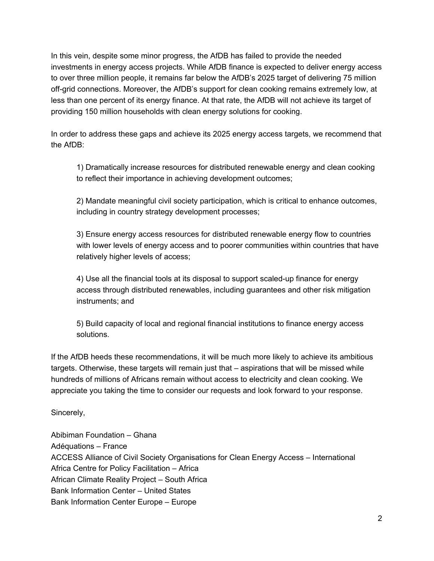In this vein, despite some minor progress, the AfDB has failed to provide the needed investments in energy access projects. While AfDB finance is expected to deliver energy access to over three million people, it remains far below the AfDB's 2025 target of delivering 75 million off-grid connections. Moreover, the AfDB's support for clean cooking remains extremely low, at less than one percent of its energy finance. At that rate, the AfDB will not achieve its target of providing 150 million households with clean energy solutions for cooking.

In order to address these gaps and achieve its 2025 energy access targets, we recommend that the AfDB:

1) Dramatically increase resources for distributed renewable energy and clean cooking to reflect their importance in achieving development outcomes;

2) Mandate meaningful civil society participation, which is critical to enhance outcomes, including in country strategy development processes;

3) Ensure energy access resources for distributed renewable energy flow to countries with lower levels of energy access and to poorer communities within countries that have relatively higher levels of access;

4) Use all the financial tools at its disposal to support scaled-up finance for energy access through distributed renewables, including guarantees and other risk mitigation instruments; and

5) Build capacity of local and regional financial institutions to finance energy access solutions.

If the AfDB heeds these recommendations, it will be much more likely to achieve its ambitious targets. Otherwise, these targets will remain just that – aspirations that will be missed while hundreds of millions of Africans remain without access to electricity and clean cooking. We appreciate you taking the time to consider our requests and look forward to your response.

Sincerely,

Abibiman Foundation – Ghana Adéquations – France ACCESS Alliance of Civil Society Organisations for Clean Energy Access – International Africa Centre for Policy Facilitation – Africa African Climate Reality Project – South Africa Bank Information Center – United States Bank Information Center Europe – Europe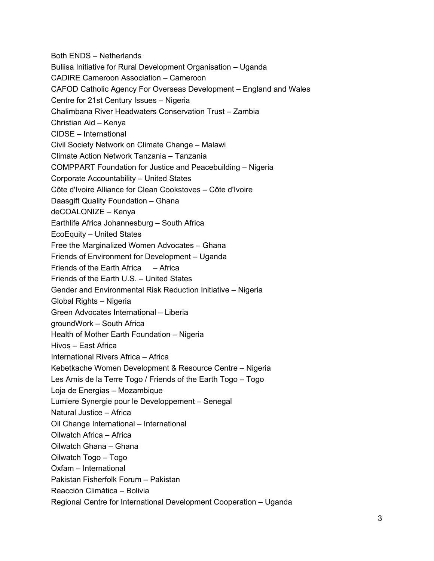Both ENDS – Netherlands Buliisa Initiative for Rural Development Organisation – Uganda CADIRE Cameroon Association – Cameroon CAFOD Catholic Agency For Overseas Development – England and Wales Centre for 21st Century Issues – Nigeria Chalimbana River Headwaters Conservation Trust – Zambia Christian Aid – Kenya CIDSE – International Civil Society Network on Climate Change – Malawi Climate Action Network Tanzania – Tanzania COMPPART Foundation for Justice and Peacebuilding – Nigeria Corporate Accountability – United States Côte d'Ivoire Alliance for Clean Cookstoves – Côte d'Ivoire Daasgift Quality Foundation – Ghana deCOALONIZE – Kenya Earthlife Africa Johannesburg – South Africa EcoEquity – United States Free the Marginalized Women Advocates – Ghana Friends of Environment for Development – Uganda Friends of the Earth Africa – Africa Friends of the Earth U.S. – United States Gender and Environmental Risk Reduction Initiative – Nigeria Global Rights – Nigeria Green Advocates International – Liberia groundWork – South Africa Health of Mother Earth Foundation – Nigeria Hivos – East Africa International Rivers Africa – Africa Kebetkache Women Development & Resource Centre – Nigeria Les Amis de la Terre Togo / Friends of the Earth Togo – Togo Loja de Energias – Mozambique Lumiere Synergie pour le Developpement – Senegal Natural Justice – Africa Oil Change International – International Oilwatch Africa – Africa Oilwatch Ghana – Ghana Oilwatch Togo – Togo Oxfam – International Pakistan Fisherfolk Forum – Pakistan Reacción Climática – Bolivia Regional Centre for International Development Cooperation – Uganda